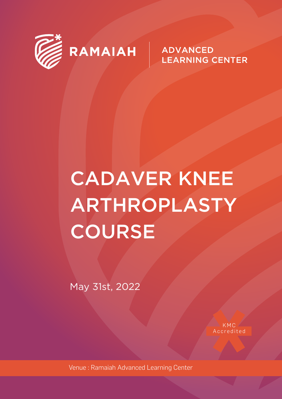

RAMAIAH

**ADVANCED LEARNING CENTER** 

# **CADAVER KNEE** ARTHROPLASTY **COURSE**

May 31st, 2022

KMC Accredited

Venue: Ramaiah Advanced Learning Center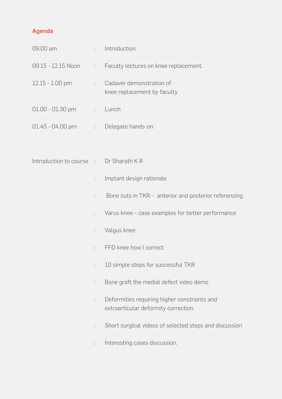### Agenda

| 09.00 am                                | ÷.   | Introduction                                                                        |  |  |
|-----------------------------------------|------|-------------------------------------------------------------------------------------|--|--|
| 09.15 - 12.15 Noon                      | t in | Faculty lectures on knee replacement.                                               |  |  |
| 12.15 - 1.00 pm                         | ÷.   | Cadaver demonstration of<br>knee replacement by faculty                             |  |  |
| $01.00 - 01.30$ pm                      |      | : Lunch                                                                             |  |  |
| 01.45 - 04.00 pm : Delegate hands-on    |      |                                                                                     |  |  |
|                                         |      |                                                                                     |  |  |
| Introduction to course : Dr Sharath K R |      |                                                                                     |  |  |
|                                         | t.   | Implant design rationale                                                            |  |  |
|                                         | t.   | Bone cuts in TKR - anterior and posterior referencing                               |  |  |
|                                         | t.   | Varus knee - case examples for better performance                                   |  |  |
|                                         | t.   | Valgus knee                                                                         |  |  |
|                                         | t.   | FFD knee how I correct                                                              |  |  |
|                                         | t.   | 10 simple steps for successful TKR                                                  |  |  |
|                                         | t.   | Bone graft the medial defect video demo                                             |  |  |
|                                         | t.   | Deformities requiring higher constraints and<br>extraarticular deformity correction |  |  |
|                                         | t.   | Short surgical videos of selected steps and discussion                              |  |  |
|                                         | t.   | Interesting cases discussion.                                                       |  |  |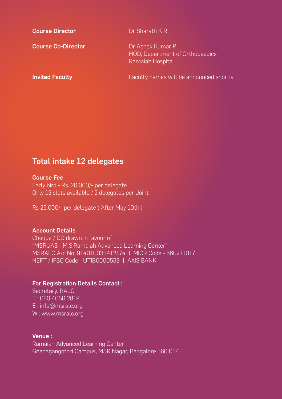| <b>Course Director</b>    | Dr Sharath K R                                                          |
|---------------------------|-------------------------------------------------------------------------|
| <b>Course Co-Director</b> | Dr Ashok Kumar P<br>HOD, Department of Orthopaedics<br>Ramaiah Hospital |
| <b>Invited Faculty</b>    | Faculty names will be announced shortly                                 |

## Total intake 12 delegates

#### Course Fee

Early bird - Rs. 20,000/- per delegate Only 12 slots available / 2 delegates per Joint

Rs 25,000/- per delegate ( After May 10th )

#### Account Details

Cheque / DD drawn in favour of "MSRUAS - M.S.Ramaiah Advanced Learning Center" MSRALC A/c No: 914010033412174 | MICR Code - 560211017 NEFT / IFSC Code - UTIB0000559 | AXIS BANK

#### For Registration Details Contact :

Secretary, RALC T : 080 4050 2819 E : info@msralc.org W : www.msralc.org

#### Venue :

Ramaiah Advanced Learning Center Gnanagangothri Campus, MSR Nagar, Bangalore 560 054